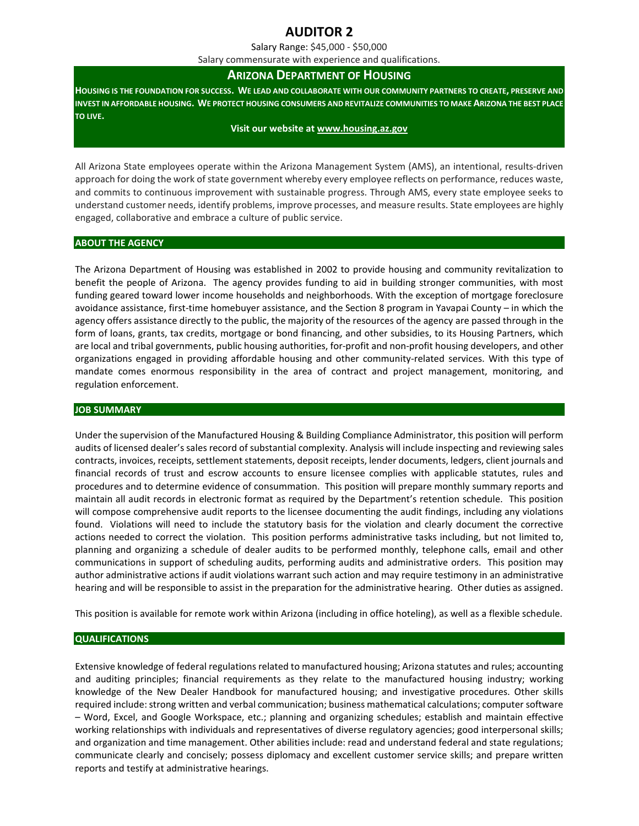# **AUDITOR 2**

Salary Range: \$45,000 - \$50,000

Salary commensurate with experience and qualifications.

# **ARIZONA DEPARTMENT OF HOUSING**

**HOUSING IS THE FOUNDATION FOR SUCCESS. WE LEAD AND COLLABORATE WITH OUR COMMUNITY PARTNERS TO CREATE, PRESERVE AND INVEST IN AFFORDABLE HOUSING. WE PROTECT HOUSING CONSUMERS AND REVITALIZE COMMUNITIES TO MAKE ARIZONA THE BEST PLACE TO LIVE.**

#### **Visit our website at [www.housing.az.gov](http://www.housing.az.gov/)**

All Arizona State employees operate within the Arizona Management System (AMS), an intentional, results-driven approach for doing the work of state government whereby every employee reflects on performance, reduces waste, and commits to continuous improvement with sustainable progress. Through AMS, every state employee seeks to understand customer needs, identify problems, improve processes, and measure results. State employees are highly engaged, collaborative and embrace a culture of public service.

#### **ABOUT THE AGENCY**

The Arizona Department of Housing was established in 2002 to provide housing and community revitalization to benefit the people of Arizona. The agency provides funding to aid in building stronger communities, with most funding geared toward lower income households and neighborhoods. With the exception of mortgage foreclosure avoidance assistance, first-time homebuyer assistance, and the Section 8 program in Yavapai County – in which the agency offers assistance directly to the public, the majority of the resources of the agency are passed through in the form of loans, grants, tax credits, mortgage or bond financing, and other subsidies, to its Housing Partners, which are local and tribal governments, public housing authorities, for-profit and non-profit housing developers, and other organizations engaged in providing affordable housing and other community-related services. With this type of mandate comes enormous responsibility in the area of contract and project management, monitoring, and regulation enforcement.

#### **JOB SUMMARY**

Under the supervision of the Manufactured Housing & Building Compliance Administrator, this position will perform audits of licensed dealer's sales record of substantial complexity. Analysis will include inspecting and reviewing sales contracts, invoices, receipts, settlement statements, deposit receipts, lender documents, ledgers, client journals and financial records of trust and escrow accounts to ensure licensee complies with applicable statutes, rules and procedures and to determine evidence of consummation. This position will prepare monthly summary reports and maintain all audit records in electronic format as required by the Department's retention schedule. This position will compose comprehensive audit reports to the licensee documenting the audit findings, including any violations found. Violations will need to include the statutory basis for the violation and clearly document the corrective actions needed to correct the violation. This position performs administrative tasks including, but not limited to, planning and organizing a schedule of dealer audits to be performed monthly, telephone calls, email and other communications in support of scheduling audits, performing audits and administrative orders. This position may author administrative actions if audit violations warrant such action and may require testimony in an administrative hearing and will be responsible to assist in the preparation for the administrative hearing. Other duties as assigned.

This position is available for remote work within Arizona (including in office hoteling), as well as a flexible schedule.

# **QUALIFICATIONS**

Extensive knowledge of federal regulations related to manufactured housing; Arizona statutes and rules; accounting and auditing principles; financial requirements as they relate to the manufactured housing industry; working knowledge of the New Dealer Handbook for manufactured housing; and investigative procedures. Other skills required include: strong written and verbal communication; business mathematical calculations; computer software – Word, Excel, and Google Workspace, etc.; planning and organizing schedules; establish and maintain effective working relationships with individuals and representatives of diverse regulatory agencies; good interpersonal skills; and organization and time management. Other abilities include: read and understand federal and state regulations; communicate clearly and concisely; possess diplomacy and excellent customer service skills; and prepare written reports and testify at administrative hearings.